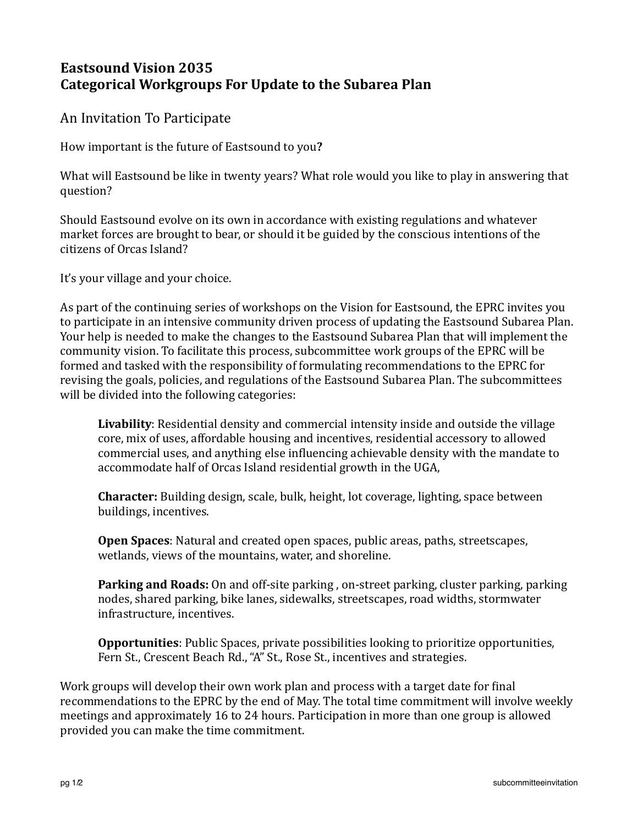## **Eastsound Vision 2035 Categorical Workgroups For Update to the Subarea Plan**

An Invitation To Participate

How important is the future of Eastsound to you?

What will Eastsound be like in twenty years? What role would you like to play in answering that question? 

Should Eastsound evolve on its own in accordance with existing regulations and whatever market forces are brought to bear, or should it be guided by the conscious intentions of the citizens of Orcas Island? 

It's your village and your choice.

As part of the continuing series of workshops on the Vision for Eastsound, the EPRC invites you to participate in an intensive community driven process of updating the Eastsound Subarea Plan. Your help is needed to make the changes to the Eastsound Subarea Plan that will implement the community vision. To facilitate this process, subcommittee work groups of the EPRC will be formed and tasked with the responsibility of formulating recommendations to the EPRC for revising the goals, policies, and regulations of the Eastsound Subarea Plan. The subcommittees will be divided into the following categories:

Livability: Residential density and commercial intensity inside and outside the village core, mix of uses, affordable housing and incentives, residential accessory to allowed commercial uses, and anything else influencing achievable density with the mandate to accommodate half of Orcas Island residential growth in the UGA,

**Character:** Building design, scale, bulk, height, lot coverage, lighting, space between buildings, incentives.

**Open Spaces**: Natural and created open spaces, public areas, paths, streetscapes, wetlands, views of the mountains, water, and shoreline.

**Parking and Roads:** On and off-site parking, on-street parking, cluster parking, parking nodes, shared parking, bike lanes, sidewalks, streetscapes, road widths, stormwater infrastructure, incentives.

**Opportunities**: Public Spaces, private possibilities looking to prioritize opportunities, Fern St., Crescent Beach Rd., "A" St., Rose St., incentives and strategies.

Work groups will develop their own work plan and process with a target date for final recommendations to the EPRC by the end of May. The total time commitment will involve weekly meetings and approximately 16 to 24 hours. Participation in more than one group is allowed provided you can make the time commitment.